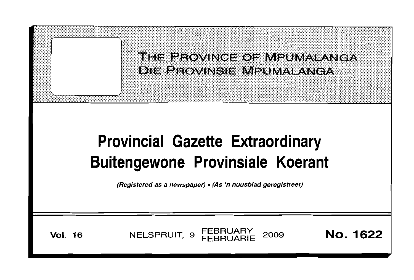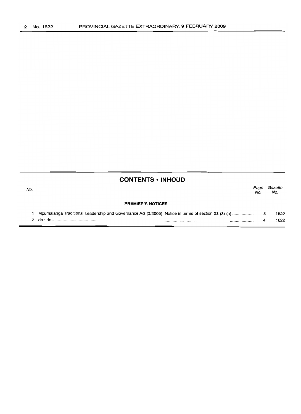## **CONTENTS • INHOUD**

| No. |                                                                                                      | Page<br>No. | Gazette<br>No. |
|-----|------------------------------------------------------------------------------------------------------|-------------|----------------|
|     | <b>PREMIER'S NOTICES</b>                                                                             |             |                |
|     | Mpumalanga Traditional Leadership and Governance Act (3/2005): Notice in terms of section 23 (3) (a) |             | 1622           |
|     | do . qo                                                                                              |             | 1622           |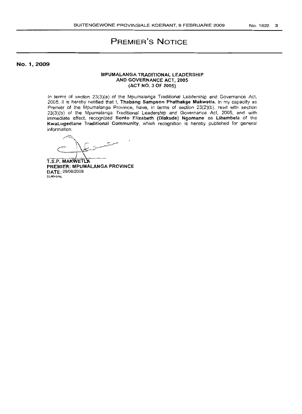## PREMIER'S NOTICE

No. 1,2009

## MPUMALANGA TRADITiONAL LEADERSHIP ANO GOVERNANCE ACT, 2005 (ACT NO.3 OF 2005)

In terms of section 23(3)(a) of the Mpumalanga Traditional Leadership and Governance Act, 2005, it is hereby notified that I, Thabang Sampson Phathakge Makwetla, in my capacity as Premier of the Mpumalanga Province, have, in terms of section 23(2}(b), read with section 23(3)(b) of the Mpumalanga Traditional Leadership and Governance Act, 2005, and with immediate effect, recognized Sonto Elizabeth (Dlakude) Ngomane as Libambela of the KwaLugedlane Traditional Community, which recognition is hereby published for general information.

 $\bigcap_{i=1}^n$ ستىسىيە<br>م

T.S.P. MAKWETLA PREMIER: MPUMALANGA PROVINCE DATE: 29/08/2008 SLA6454M,